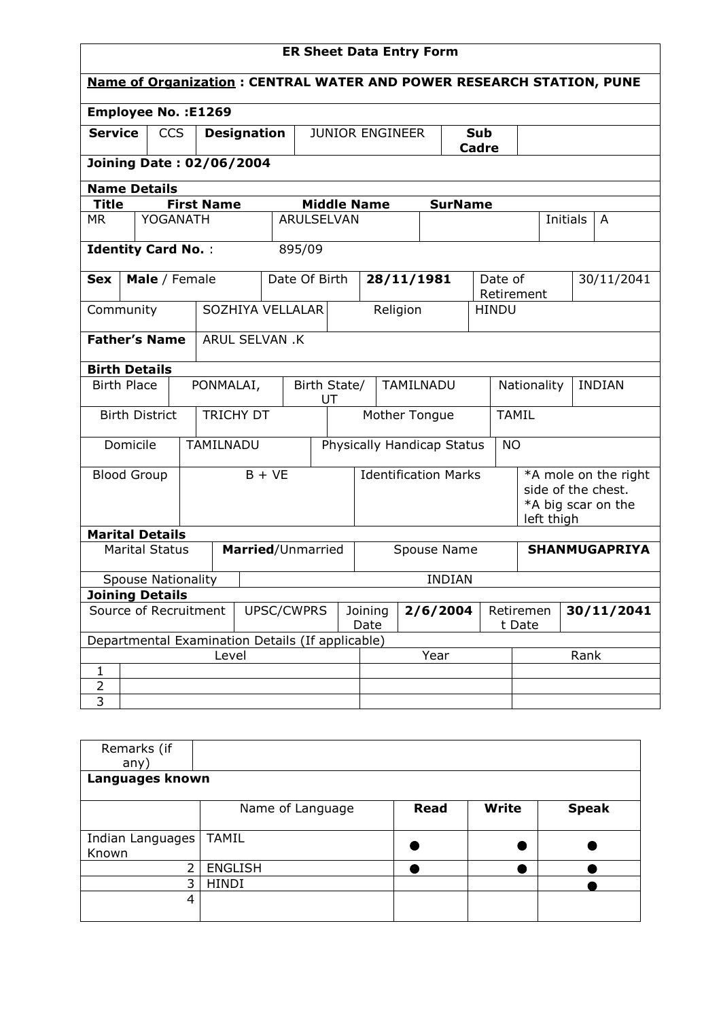| <b>Name of Organization: CENTRAL WATER AND POWER RESEARCH STATION, PUNE</b><br><b>Employee No.: E1269</b><br><b>Service</b><br><b>CCS</b><br><b>Designation</b><br><b>JUNIOR ENGINEER</b><br>Sub<br><b>Cadre</b><br><b>Joining Date: 02/06/2004</b><br><b>Name Details</b><br><b>Middle Name</b><br><b>Title</b><br><b>First Name</b><br><b>SurName</b><br>YOGANATH<br><b>ARULSELVAN</b><br><b>Initials</b><br><b>MR</b><br>A<br><b>Identity Card No.:</b><br>895/09<br>Date Of Birth<br>28/11/1981<br>Date of<br>Male / Female<br>30/11/2041<br><b>Sex</b><br>Retirement<br>SOZHIYA VELLALAR<br>Religion<br>Community<br><b>HINDU</b><br><b>Father's Name</b><br>ARUL SELVAN .K<br><b>Birth Details</b><br><b>Birth Place</b><br>PONMALAI,<br>Birth State/<br>TAMILNADU<br><b>INDIAN</b><br>Nationality<br>UT<br><b>TRICHY DT</b><br><b>Birth District</b><br>Mother Tongue<br><b>TAMIL</b> | <b>ER Sheet Data Entry Form</b> |  |           |  |  |  |  |  |  |  |           |  |  |
|----------------------------------------------------------------------------------------------------------------------------------------------------------------------------------------------------------------------------------------------------------------------------------------------------------------------------------------------------------------------------------------------------------------------------------------------------------------------------------------------------------------------------------------------------------------------------------------------------------------------------------------------------------------------------------------------------------------------------------------------------------------------------------------------------------------------------------------------------------------------------------------------|---------------------------------|--|-----------|--|--|--|--|--|--|--|-----------|--|--|
|                                                                                                                                                                                                                                                                                                                                                                                                                                                                                                                                                                                                                                                                                                                                                                                                                                                                                              |                                 |  |           |  |  |  |  |  |  |  |           |  |  |
|                                                                                                                                                                                                                                                                                                                                                                                                                                                                                                                                                                                                                                                                                                                                                                                                                                                                                              |                                 |  |           |  |  |  |  |  |  |  |           |  |  |
|                                                                                                                                                                                                                                                                                                                                                                                                                                                                                                                                                                                                                                                                                                                                                                                                                                                                                              |                                 |  |           |  |  |  |  |  |  |  |           |  |  |
|                                                                                                                                                                                                                                                                                                                                                                                                                                                                                                                                                                                                                                                                                                                                                                                                                                                                                              |                                 |  |           |  |  |  |  |  |  |  |           |  |  |
|                                                                                                                                                                                                                                                                                                                                                                                                                                                                                                                                                                                                                                                                                                                                                                                                                                                                                              |                                 |  |           |  |  |  |  |  |  |  |           |  |  |
|                                                                                                                                                                                                                                                                                                                                                                                                                                                                                                                                                                                                                                                                                                                                                                                                                                                                                              |                                 |  |           |  |  |  |  |  |  |  |           |  |  |
|                                                                                                                                                                                                                                                                                                                                                                                                                                                                                                                                                                                                                                                                                                                                                                                                                                                                                              |                                 |  |           |  |  |  |  |  |  |  |           |  |  |
|                                                                                                                                                                                                                                                                                                                                                                                                                                                                                                                                                                                                                                                                                                                                                                                                                                                                                              |                                 |  |           |  |  |  |  |  |  |  |           |  |  |
|                                                                                                                                                                                                                                                                                                                                                                                                                                                                                                                                                                                                                                                                                                                                                                                                                                                                                              |                                 |  |           |  |  |  |  |  |  |  |           |  |  |
|                                                                                                                                                                                                                                                                                                                                                                                                                                                                                                                                                                                                                                                                                                                                                                                                                                                                                              |                                 |  |           |  |  |  |  |  |  |  |           |  |  |
|                                                                                                                                                                                                                                                                                                                                                                                                                                                                                                                                                                                                                                                                                                                                                                                                                                                                                              |                                 |  |           |  |  |  |  |  |  |  |           |  |  |
|                                                                                                                                                                                                                                                                                                                                                                                                                                                                                                                                                                                                                                                                                                                                                                                                                                                                                              |                                 |  |           |  |  |  |  |  |  |  |           |  |  |
|                                                                                                                                                                                                                                                                                                                                                                                                                                                                                                                                                                                                                                                                                                                                                                                                                                                                                              |                                 |  |           |  |  |  |  |  |  |  |           |  |  |
|                                                                                                                                                                                                                                                                                                                                                                                                                                                                                                                                                                                                                                                                                                                                                                                                                                                                                              |                                 |  |           |  |  |  |  |  |  |  |           |  |  |
| Physically Handicap Status                                                                                                                                                                                                                                                                                                                                                                                                                                                                                                                                                                                                                                                                                                                                                                                                                                                                   | Domicile                        |  | TAMILNADU |  |  |  |  |  |  |  | <b>NO</b> |  |  |
| <b>Identification Marks</b><br>$B + VE$<br><b>Blood Group</b><br>*A mole on the right<br>side of the chest.<br>*A big scar on the                                                                                                                                                                                                                                                                                                                                                                                                                                                                                                                                                                                                                                                                                                                                                            |                                 |  |           |  |  |  |  |  |  |  |           |  |  |
| left thigh<br><b>Marital Details</b>                                                                                                                                                                                                                                                                                                                                                                                                                                                                                                                                                                                                                                                                                                                                                                                                                                                         |                                 |  |           |  |  |  |  |  |  |  |           |  |  |
| <b>Marital Status</b><br>Married/Unmarried<br><b>SHANMUGAPRIYA</b><br>Spouse Name                                                                                                                                                                                                                                                                                                                                                                                                                                                                                                                                                                                                                                                                                                                                                                                                            |                                 |  |           |  |  |  |  |  |  |  |           |  |  |
| <b>Spouse Nationality</b><br><b>INDIAN</b>                                                                                                                                                                                                                                                                                                                                                                                                                                                                                                                                                                                                                                                                                                                                                                                                                                                   |                                 |  |           |  |  |  |  |  |  |  |           |  |  |
| <b>Joining Details</b>                                                                                                                                                                                                                                                                                                                                                                                                                                                                                                                                                                                                                                                                                                                                                                                                                                                                       |                                 |  |           |  |  |  |  |  |  |  |           |  |  |
| Source of Recruitment<br>UPSC/CWPRS<br>2/6/2004<br>30/11/2041<br>Joining<br>Retiremen<br>Date<br>t Date                                                                                                                                                                                                                                                                                                                                                                                                                                                                                                                                                                                                                                                                                                                                                                                      |                                 |  |           |  |  |  |  |  |  |  |           |  |  |
| Departmental Examination Details (If applicable)                                                                                                                                                                                                                                                                                                                                                                                                                                                                                                                                                                                                                                                                                                                                                                                                                                             |                                 |  |           |  |  |  |  |  |  |  |           |  |  |
| Level<br>Year<br>Rank                                                                                                                                                                                                                                                                                                                                                                                                                                                                                                                                                                                                                                                                                                                                                                                                                                                                        |                                 |  |           |  |  |  |  |  |  |  |           |  |  |
| $\mathbf{1}$<br>$\overline{2}$                                                                                                                                                                                                                                                                                                                                                                                                                                                                                                                                                                                                                                                                                                                                                                                                                                                               |                                 |  |           |  |  |  |  |  |  |  |           |  |  |
| $\overline{\mathbf{3}}$                                                                                                                                                                                                                                                                                                                                                                                                                                                                                                                                                                                                                                                                                                                                                                                                                                                                      |                                 |  |           |  |  |  |  |  |  |  |           |  |  |

| Remarks (if      |                  |             |              |              |  |  |  |  |  |  |
|------------------|------------------|-------------|--------------|--------------|--|--|--|--|--|--|
| any)             |                  |             |              |              |  |  |  |  |  |  |
| Languages known  |                  |             |              |              |  |  |  |  |  |  |
|                  |                  |             |              |              |  |  |  |  |  |  |
|                  | Name of Language | <b>Read</b> | <b>Write</b> | <b>Speak</b> |  |  |  |  |  |  |
|                  |                  |             |              |              |  |  |  |  |  |  |
| Indian Languages | <b>TAMIL</b>     |             |              |              |  |  |  |  |  |  |
| Known            |                  |             |              |              |  |  |  |  |  |  |
| ົ                | <b>ENGLISH</b>   |             |              |              |  |  |  |  |  |  |
| 3                | <b>HINDI</b>     |             |              |              |  |  |  |  |  |  |
| 4                |                  |             |              |              |  |  |  |  |  |  |
|                  |                  |             |              |              |  |  |  |  |  |  |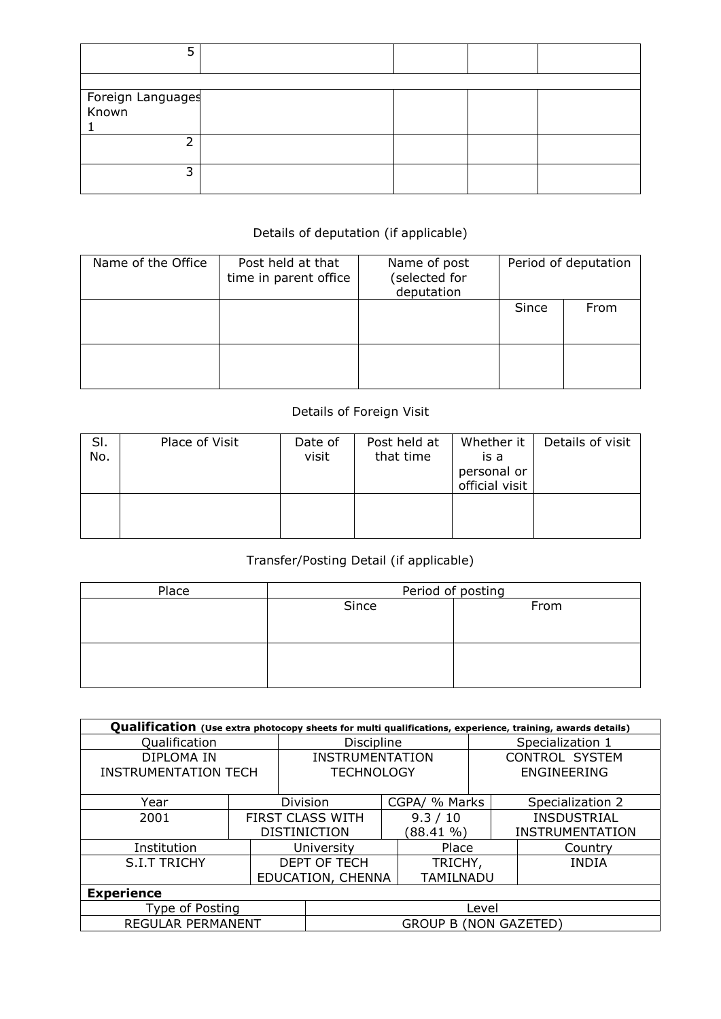| Foreign Languages<br>Known |  |  |
|----------------------------|--|--|
|                            |  |  |
| っ                          |  |  |

## Details of deputation (if applicable)

| Name of the Office | Post held at that<br>time in parent office | Name of post<br>(selected for<br>deputation | Period of deputation |      |  |
|--------------------|--------------------------------------------|---------------------------------------------|----------------------|------|--|
|                    |                                            |                                             | Since                | From |  |
|                    |                                            |                                             |                      |      |  |

## Details of Foreign Visit

| SI.<br>No. | Place of Visit | Date of<br>visit | Post held at<br>that time | Whether it<br>is a<br>personal or<br>official visit | Details of visit |
|------------|----------------|------------------|---------------------------|-----------------------------------------------------|------------------|
|            |                |                  |                           |                                                     |                  |

## Transfer/Posting Detail (if applicable)

| Place | Period of posting |      |  |  |  |  |  |
|-------|-------------------|------|--|--|--|--|--|
|       | Since             | From |  |  |  |  |  |
|       |                   |      |  |  |  |  |  |
|       |                   |      |  |  |  |  |  |
|       |                   |      |  |  |  |  |  |
|       |                   |      |  |  |  |  |  |
|       |                   |      |  |  |  |  |  |

| Qualification (Use extra photocopy sheets for multi qualifications, experience, training, awards details) |                       |  |                        |           |                  |                       |                    |  |  |  |
|-----------------------------------------------------------------------------------------------------------|-----------------------|--|------------------------|-----------|------------------|-----------------------|--------------------|--|--|--|
| Qualification                                                                                             | Discipline            |  |                        |           | Specialization 1 |                       |                    |  |  |  |
| DIPLOMA IN                                                                                                |                       |  | <b>INSTRUMENTATION</b> |           |                  | <b>CONTROL SYSTEM</b> |                    |  |  |  |
| <b>INSTRUMENTATION TECH</b>                                                                               |                       |  | <b>TECHNOLOGY</b>      |           |                  |                       | ENGINEERING        |  |  |  |
|                                                                                                           |                       |  |                        |           |                  |                       |                    |  |  |  |
| Year                                                                                                      |                       |  | Division               |           | CGPA/ % Marks    |                       | Specialization 2   |  |  |  |
| 2001                                                                                                      |                       |  | FIRST CLASS WITH       |           | 9.3 / 10         |                       | <b>INSDUSTRIAL</b> |  |  |  |
|                                                                                                           |                       |  | <b>DISTINICTION</b>    | (88.41 %) |                  |                       | INSTRUMENTATION    |  |  |  |
| Institution                                                                                               |                       |  | University             |           | Place            |                       | Country            |  |  |  |
| <b>S.I.T TRICHY</b>                                                                                       |                       |  | DEPT OF TECH           |           | TRICHY,          |                       | <b>INDIA</b>       |  |  |  |
|                                                                                                           |                       |  | EDUCATION, CHENNA      |           | TAMILNADU        |                       |                    |  |  |  |
| <b>Experience</b>                                                                                         |                       |  |                        |           |                  |                       |                    |  |  |  |
| Type of Posting                                                                                           | Level                 |  |                        |           |                  |                       |                    |  |  |  |
| REGULAR PERMANENT                                                                                         | GROUP B (NON GAZETED) |  |                        |           |                  |                       |                    |  |  |  |